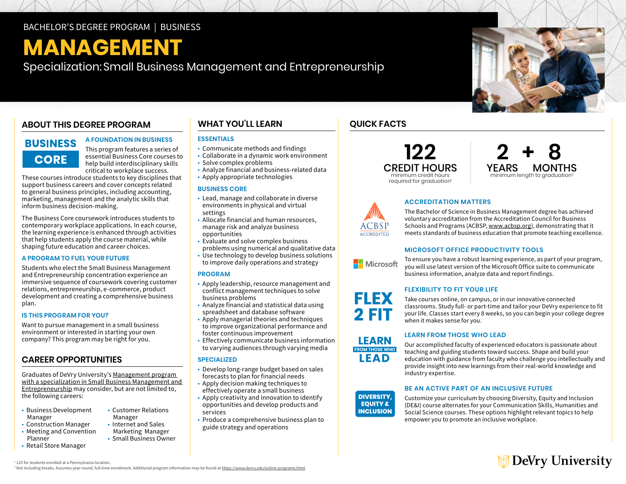## BACHELOR'S DEGREE PROGRAM | BUSINESS

# **MANAGEMENT**

Specialization: Small Business Management and Entrepreneurship

## **ABOUT THIS DEGREE PROGRAM**

## **BUSINESS CORE**

This program features a series of essential Business Core courses to help build interdisciplinary skills critical to workplace success.

**A FOUNDATION IN BUSINESS** 

These courses introduce students to key disciplines that support business careers and cover concepts related to general business principles, including accounting, marketing, management and the analytic skills that inform business decision-making.

The Business Core coursework introduces students to contemporary workplace applications. In each course, the learning experience is enhanced through activities that help students apply the course material, while shaping future education and career choices.

#### **A PROGRAM TO FUEL YOUR FUTURE**

Students who elect the Small Business Management and Entrepreneurship concentration experience an immersive sequence of coursework covering customer relations, entrepreneurship, e-commerce, product development and creating a comprehensive business plan.

#### **IS THIS PROGRAM FOR YOU?**

Want to pursue management in a small business environment or interested in starting your own company? This program may be right for you.

### **CAREER OPPORTUNITIES**

Graduates of DeVry University's [Management program](https://www.devry.edu/online-programs/bachelors-degrees/business/small-business-management-and-entrepreneurship-specialization.html)  [with a specialization in Small Business Management and](https://www.devry.edu/online-programs/bachelors-degrees/business/small-business-management-and-entrepreneurship-specialization.html)  [Entrepreneurship](https://www.devry.edu/online-programs/bachelors-degrees/business/small-business-management-and-entrepreneurship-specialization.html) may consider, but are not limited to, the following careers:

- Business Development Customer Relations Manager Manager<br>Construction Manager • Internet and Sales
- Construction Manager • Meeting and Convention Marketing Manager<br>Planner **Manager Convention** Manager Small Business Own

• Retail Store Manager

## • Small Business Owner

## **WHAT YOU'LL LEARN**

#### **ESSENTIALS**

- Communicate methods and findings
- Collaborate in a dynamic work environment
- Solve complex problems
- Analyze financial and business-related data
- Apply appropriate technologies

#### **BUSINESS CORE**

- settings • Lead, manage and collaborate in diverse environments in physical and virtual
- opportunities • Allocate financial and human resources, manage risk and analyze business
- Evaluate and solve complex business problems using numerical and qualitative data
- Use technology to develop business solutions to improve daily operations and strategy

#### **PROGRAM**

- Apply leadership, resource management and conflict management techniques to solve business problems
- Analyze financial and statistical data using spreadsheet and database software
- Apply managerial theories and techniques to improve organizational performance and
- foster continuous improvement • Effectively communicate business information
- to varying audiences through varying media

#### **SPECIALIZED**

- Develop long-range budget based on sales forecasts to plan for financial needs
- Apply decision making techniques to
- effectively operate a small business • Apply creativity and innovation to identify
- opportunities and develop products and services
- Produce a comprehensive business plan to guide strategy and operations

## **QUICK FACTS**





### **ACCREDITATION MATTERS**

The Bachelor of Science in Business Management degree has achieved voluntary accreditation from the Accreditation Council for Business Schools and Programs (ACBSP, [www.acbsp.org](http://www.acbsp.org)), demonstrating that it meets standards of business education that promote teaching excellence.

#### **MICROSOFT OFFICE PRODUCTIVITY TOOLS**

To ensure you have a robust learning experience, as part of your program, Microsoft you will use latest version of the Microsoft Office suite to communicate business information, analyze data and report findings.

#### **FLEXIBILITY TO FIT YOUR LIFE**



#### **LEARN FROM THOSE WHO LEAD**

Our accomplished faculty of experienced educators is passionate about teaching and guiding students toward success. Shape and build your education with guidance from faculty who challenge you intellectually and provide insight into new learnings from their real-world knowledge and industry expertise.

#### **BE AN ACTIVE PART OF AN INCLUSIVE FUTURE**



Customize your curriculum by choosing Diversity, Equity and Inclusion (DE&I) course alternates for your Communication Skills, Humanities and Social Science courses. These options highlight relevant topics to help empower you to promote an inclusive workplace.

## ∕ DeVry University

1 125 for students enrolled at a Pennsylvania location. <sup>2</sup> Not including breaks. Assumes year-round, full-time enrollment. Additional program information may be found at [https://www.devry.edu/online-programs.html.](https://www.devry.edu/online-programs.html)





**LEARN FROM THOSE WHO** LEAD